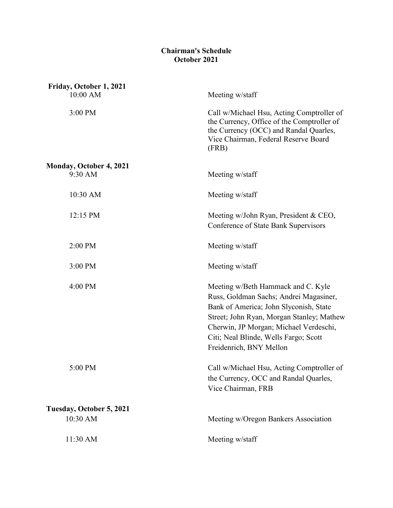## **Chairman's Schedule October 2021**

| Friday, October 1, 2021<br>10:00 AM       | Meeting w/staff                                                                                                                                                                                                                                                                   |
|-------------------------------------------|-----------------------------------------------------------------------------------------------------------------------------------------------------------------------------------------------------------------------------------------------------------------------------------|
| 3:00 PM                                   | Call w/Michael Hsu, Acting Comptroller of<br>the Currency, Office of the Comptroller of<br>the Currency (OCC) and Randal Quarles,<br>Vice Chairman, Federal Reserve Board<br>(FRB)                                                                                                |
| <b>Monday, October 4, 2021</b><br>9:30 AM | Meeting w/staff                                                                                                                                                                                                                                                                   |
| 10:30 AM                                  | Meeting w/staff                                                                                                                                                                                                                                                                   |
| 12:15 PM                                  | Meeting w/John Ryan, President & CEO,<br>Conference of State Bank Supervisors                                                                                                                                                                                                     |
| 2:00 PM                                   | Meeting w/staff                                                                                                                                                                                                                                                                   |
| 3:00 PM                                   | Meeting w/staff                                                                                                                                                                                                                                                                   |
| 4:00 PM                                   | Meeting w/Beth Hammack and C. Kyle<br>Russ, Goldman Sachs; Andrei Magasiner,<br>Bank of America; John Slyconish, State<br>Street; John Ryan, Morgan Stanley; Mathew<br>Cherwin, JP Morgan; Michael Verdeschi,<br>Citi; Neal Blinde, Wells Fargo; Scott<br>Freidenrich, BNY Mellon |
| 5:00 PM                                   | Call w/Michael Hsu, Acting Comptroller of<br>the Currency, OCC and Randal Quarles,<br>Vice Chairman, FRB                                                                                                                                                                          |
| Tuesday, October 5, 2021                  |                                                                                                                                                                                                                                                                                   |
| 10:30 AM                                  | Meeting w/Oregon Bankers Association                                                                                                                                                                                                                                              |
| 11:30 AM                                  | Meeting w/staff                                                                                                                                                                                                                                                                   |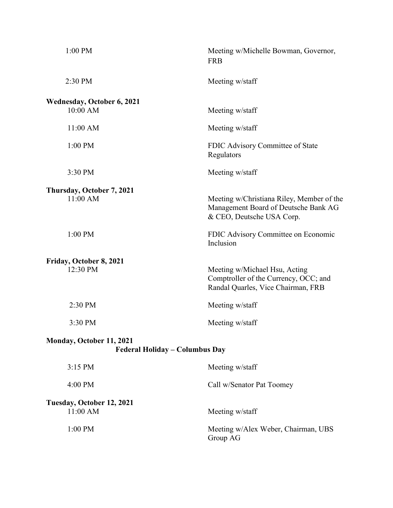| 1:00 PM                                       | Meeting w/Michelle Bowman, Governor,<br><b>FRB</b>                                                             |
|-----------------------------------------------|----------------------------------------------------------------------------------------------------------------|
| 2:30 PM                                       | Meeting w/staff                                                                                                |
| <b>Wednesday, October 6, 2021</b><br>10:00 AM | Meeting w/staff                                                                                                |
| 11:00 AM                                      | Meeting w/staff                                                                                                |
| 1:00 PM                                       | FDIC Advisory Committee of State<br>Regulators                                                                 |
| 3:30 PM                                       | Meeting w/staff                                                                                                |
| Thursday, October 7, 2021<br>11:00 AM         | Meeting w/Christiana Riley, Member of the<br>Management Board of Deutsche Bank AG<br>& CEO, Deutsche USA Corp. |
| 1:00 PM                                       | FDIC Advisory Committee on Economic<br>Inclusion                                                               |
| Friday, October 8, 2021<br>12:30 PM           | Meeting w/Michael Hsu, Acting<br>Comptroller of the Currency, OCC; and<br>Randal Quarles, Vice Chairman, FRB   |
| 2:30 PM                                       | Meeting w/staff                                                                                                |
| 3:30 PM                                       | Meeting w/staff                                                                                                |
| Monday, October 11, 2021                      | Federal Holiday - Columbus Day                                                                                 |
| 3:15 PM                                       | Meeting w/staff                                                                                                |
| 4:00 PM                                       | Call w/Senator Pat Toomey                                                                                      |
| Tuesday, October 12, 2021<br>11:00 AM         | Meeting w/staff                                                                                                |
| 1:00 PM                                       | Meeting w/Alex Weber, Chairman, UBS<br>Group AG                                                                |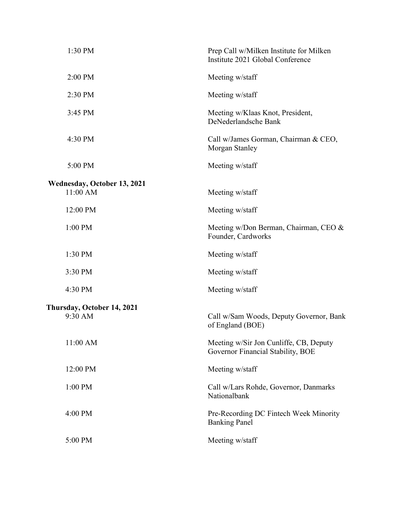| 1:30 PM                     | Prep Call w/Milken Institute for Milken<br>Institute 2021 Global Conference |
|-----------------------------|-----------------------------------------------------------------------------|
| 2:00 PM                     | Meeting w/staff                                                             |
| 2:30 PM                     | Meeting w/staff                                                             |
| 3:45 PM                     | Meeting w/Klaas Knot, President,<br>DeNederlandsche Bank                    |
| 4:30 PM                     | Call w/James Gorman, Chairman & CEO,<br>Morgan Stanley                      |
| 5:00 PM                     | Meeting w/staff                                                             |
| Wednesday, October 13, 2021 |                                                                             |
| 11:00 AM                    | Meeting w/staff                                                             |
| 12:00 PM                    | Meeting w/staff                                                             |
| 1:00 PM                     | Meeting w/Don Berman, Chairman, CEO &<br>Founder, Cardworks                 |
| 1:30 PM                     | Meeting w/staff                                                             |
| 3:30 PM                     | Meeting w/staff                                                             |
| 4:30 PM                     | Meeting w/staff                                                             |
| Thursday, October 14, 2021  |                                                                             |
| 9:30 AM                     | Call w/Sam Woods, Deputy Governor, Bank<br>of England (BOE)                 |
| 11:00 AM                    | Meeting w/Sir Jon Cunliffe, CB, Deputy<br>Governor Financial Stability, BOE |
| 12:00 PM                    | Meeting w/staff                                                             |
| 1:00 PM                     | Call w/Lars Rohde, Governor, Danmarks<br>Nationalbank                       |
| 4:00 PM                     | Pre-Recording DC Fintech Week Minority<br><b>Banking Panel</b>              |
| 5:00 PM                     | Meeting w/staff                                                             |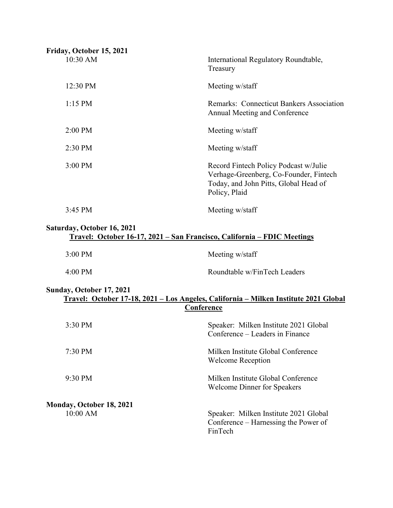| Friday, October 15, 2021 |                                                                                                                                           |
|--------------------------|-------------------------------------------------------------------------------------------------------------------------------------------|
| 10:30 AM                 | International Regulatory Roundtable,<br>Treasury                                                                                          |
| 12:30 PM                 | Meeting w/staff                                                                                                                           |
| $1:15$ PM                | Remarks: Connecticut Bankers Association<br>Annual Meeting and Conference                                                                 |
| $2:00$ PM                | Meeting w/staff                                                                                                                           |
| $2:30$ PM                | Meeting w/staff                                                                                                                           |
| $3:00$ PM                | Record Fintech Policy Podcast w/Julie<br>Verhage-Greenberg, Co-Founder, Fintech<br>Today, and John Pitts, Global Head of<br>Policy, Plaid |
| $3:45 \text{ PM}$        | Meeting w/staff                                                                                                                           |

## **Saturday, October 16, 2021 Travel: October 16-17, 2021 – San Francisco, California – FDIC Meetings**

| $3:00 \text{ PM}$ | Meeting w/staff              |
|-------------------|------------------------------|
| $4:00 \text{ PM}$ | Roundtable w/FinTech Leaders |

## **Sunday, October 17, 2021 Travel: October 17-18, 2021 – Los Angeles, California – Milken Institute 2021 Global Conference**

| $3:30 \text{ PM}$        | Speaker: Milken Institute 2021 Global<br>Conference – Leaders in Finance                 |
|--------------------------|------------------------------------------------------------------------------------------|
| $7:30 \text{ PM}$        | Milken Institute Global Conference<br>Welcome Reception                                  |
| $9:30 \text{ PM}$        | Milken Institute Global Conference<br><b>Welcome Dinner for Speakers</b>                 |
| Monday, October 18, 2021 |                                                                                          |
| $10:00$ AM               | Speaker: Milken Institute 2021 Global<br>Conference – Harnessing the Power of<br>FinTech |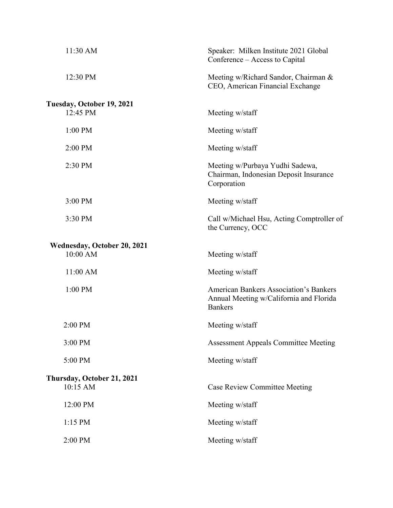| Speaker: Milken Institute 2021 Global<br>Conference – Access to Capital                                    |
|------------------------------------------------------------------------------------------------------------|
| Meeting w/Richard Sandor, Chairman &<br>CEO, American Financial Exchange                                   |
| Meeting w/staff                                                                                            |
| Meeting w/staff                                                                                            |
| Meeting w/staff                                                                                            |
| Meeting w/Purbaya Yudhi Sadewa,<br>Chairman, Indonesian Deposit Insurance<br>Corporation                   |
| Meeting w/staff                                                                                            |
| Call w/Michael Hsu, Acting Comptroller of<br>the Currency, OCC                                             |
| Meeting w/staff                                                                                            |
| Meeting w/staff                                                                                            |
| <b>American Bankers Association's Bankers</b><br>Annual Meeting w/California and Florida<br><b>Bankers</b> |
| Meeting w/staff                                                                                            |
| Assessment Appeals Committee Meeting                                                                       |
| Meeting w/staff                                                                                            |
| <b>Case Review Committee Meeting</b>                                                                       |
| Meeting w/staff                                                                                            |
| Meeting w/staff                                                                                            |
| Meeting w/staff                                                                                            |
|                                                                                                            |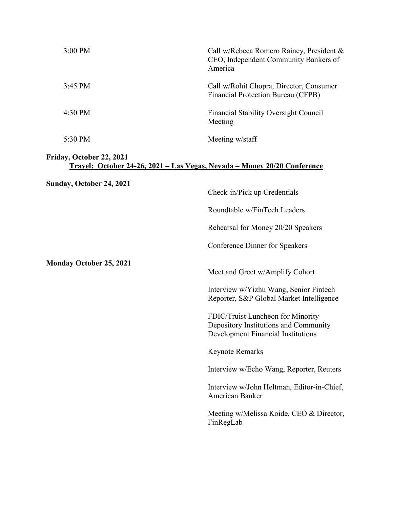| 3:00 PM                                                                                                      | Call w/Rebeca Romero Rainey, President &<br>CEO, Independent Community Bankers of<br>America                     |
|--------------------------------------------------------------------------------------------------------------|------------------------------------------------------------------------------------------------------------------|
| 3:45 PM                                                                                                      | Call w/Rohit Chopra, Director, Consumer<br>Financial Protection Bureau (CFPB)                                    |
| 4:30 PM                                                                                                      | Financial Stability Oversight Council<br>Meeting                                                                 |
| 5:30 PM                                                                                                      | Meeting w/staff                                                                                                  |
| Friday, October 22, 2021<br><u> Travel: October 24-26, 2021 – Las Vegas, Nevada – Money 20/20 Conference</u> |                                                                                                                  |
| Sunday, October 24, 2021                                                                                     | Check-in/Pick up Credentials                                                                                     |
|                                                                                                              | Roundtable w/FinTech Leaders                                                                                     |
|                                                                                                              | Rehearsal for Money 20/20 Speakers                                                                               |
|                                                                                                              | Conference Dinner for Speakers                                                                                   |
| <b>Monday October 25, 2021</b>                                                                               | Meet and Greet w/Amplify Cohort                                                                                  |
|                                                                                                              | Interview w/Yizhu Wang, Senior Fintech<br>Reporter, S&P Global Market Intelligence                               |
|                                                                                                              | FDIC/Truist Luncheon for Minority<br>Depository Institutions and Community<br>Development Financial Institutions |
|                                                                                                              | Keynote Remarks                                                                                                  |
|                                                                                                              | Interview w/Echo Wang, Reporter, Reuters                                                                         |
|                                                                                                              | Interview w/John Heltman, Editor-in-Chief,<br>American Banker                                                    |
|                                                                                                              | Meeting w/Melissa Koide, CEO & Director,<br>FinRegLab                                                            |